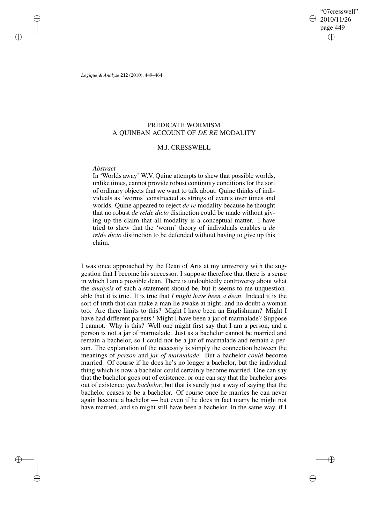"07cresswell" 2010/11/26 page 449 ✐ ✐

✐

✐

*Logique & Analyse* **212** (2010), 449–464

✐

✐

✐

✐

# PREDICATE WORMISM A QUINEAN ACCOUNT OF *DE RE* MODALITY

## M.J. CRESSWELL

### *Abstract*

In 'Worlds away' W.V. Quine attempts to shew that possible worlds, unlike times, cannot provide robust continuity conditionsfor the sort of ordinary objects that we want to talk about. Quine thinks of individuals as 'worms' constructed as strings of events over times and worlds. Quine appeared to reject *de re* modality because he thought that no robust *de re*/*de dicto* distinction could be made without giving up the claim that all modality is a conceptual matter. I have tried to shew that the 'worm' theory of individuals enables a *de re*/*de dicto* distinction to be defended without having to give up this claim.

I was once approached by the Dean of Arts at my university with the suggestion that I become his successor. I suppose therefore that there is a sense in which I am a possible dean. There is undoubtedly controversy about what the *analysis* of such a statement should be, but it seems to me unquestionable that it is true. It is true that *I might have been a dean*. Indeed it is the sort of truth that can make a man lie awake at night, and no doubt a woman too. Are there limits to this? Might I have been an Englishman? Might I have had different parents? Might I have been a jar of marmalade? Suppose I cannot. Why is this? Well one might first say that I am a person, and a person is not a jar of marmalade. Just as a bachelor cannot be married and remain a bachelor, so I could not be a jar of marmalade and remain a person. The explanation of the necessity is simply the connection between the meanings of *person* and *jar of marmalade*. But a bachelor *could* become married. Of course if he does he's no longer a bachelor, but the individual thing which is now a bachelor could certainly become married. One can say that the bachelor goes out of existence, or one can say that the bachelor goes out of existence *qua bachelor*, but that is surely just a way of saying that the bachelor ceases to be a bachelor. Of course once he marries he can never again become a bachelor — but even if he does in fact marry he might not have married, and so might still have been a bachelor. In the same way, if I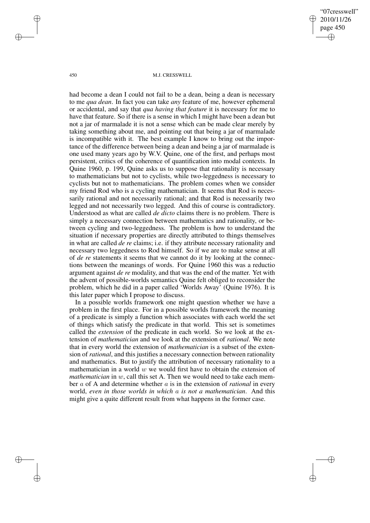"07cresswell" 2010/11/26 page 450 ✐ ✐

✐

✐

#### 450 M.J. CRESSWELL

had become a dean I could not fail to be a dean, being a dean is necessary to me *qua dean*. In fact you can take *any* feature of me, however ephemeral or accidental, and say that *qua having that feature* it is necessary for me to have that feature. So if there is a sense in which I might have been a dean but not a jar of marmalade it is not a sense which can be made clear merely by taking something about me, and pointing out that being a jar of marmalade is incompatible with it. The best example I know to bring out the importance of the difference between being a dean and being a jar of marmalade is one used many years ago by W.V. Quine, one of the first, and perhaps most persistent, critics of the coherence of quantification into modal contexts. In Quine 1960, p. 199, Quine asks us to suppose that rationality is necessary to mathematicians but not to cyclists, while two-leggedness is necessary to cyclists but not to mathematicians. The problem comes when we consider my friend Rod who is a cycling mathematician. It seems that Rod is necessarily rational and not necessarily rational; and that Rod is necessarily two legged and not necessarily two legged. And this of course is contradictory. Understood as what are called *de dicto* claims there is no problem. There is simply a necessary connection between mathematics and rationality, or between cycling and two-leggedness. The problem is how to understand the situation if necessary properties are directly attributed to things themselves in what are called *de re* claims; i.e. if they attribute necessary rationality and necessary two leggedness to Rod himself. So if we are to make sense at all of *de re* statements it seems that we cannot do it by looking at the connections between the meanings of words. For Quine 1960 this was a reductio argument against *de re* modality, and that was the end of the matter. Yet with the advent of possible-worlds semantics Quine felt obliged to reconsider the problem, which he did in a paper called 'Worlds Away' (Quine 1976). It is this later paper which I propose to discuss.

In a possible worlds framework one might question whether we have a problem in the first place. For in a possible worlds framework the meaning of a predicate is simply a function which associates with each world the set of things which satisfy the predicate in that world. This set is sometimes called the *extension* of the predicate in each world. So we look at the extension of *mathematician* and we look at the extension of *rational*. We note that in every world the extension of *mathematician* is a subset of the extension of *rational*, and this justifies a necessary connection between rationality and mathematics. But to justify the attribution of necessary rationality to a mathematician in a world  $w$  we would first have to obtain the extension of *mathematician* in w, call this set A. Then we would need to take each member a of A and determine whether a is in the extension of *rational* in every world, *even in those worlds in which* a *is not a mathematician*. And this might give a quite different result from what happens in the former case.

✐

✐

✐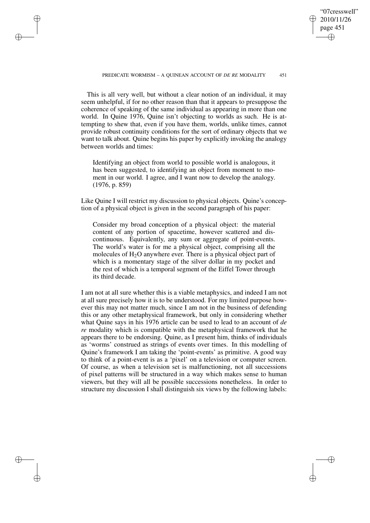### "07cresswell" 2010/11/26 page 451 ✐ ✐

✐

✐

#### PREDICATE WORMISM – A QUINEAN ACCOUNT OF *DE RE* MODALITY 451

This is all very well, but without a clear notion of an individual, it may seem unhelpful, if for no other reason than that it appears to presuppose the coherence of speaking of the same individual as appearing in more than one world. In Quine 1976, Quine isn't objecting to worlds as such. He is attempting to shew that, even if you have them, worlds, unlike times, cannot provide robust continuity conditions for the sort of ordinary objects that we want to talk about. Quine begins his paper by explicitly invoking the analogy between worlds and times:

✐

✐

✐

✐

Identifying an object from world to possible world is analogous, it has been suggested, to identifying an object from moment to moment in our world. I agree, and I want now to develop the analogy. (1976, p. 859)

Like Quine I will restrict my discussion to physical objects. Quine's conception of a physical object is given in the second paragraph of his paper:

Consider my broad conception of a physical object: the material content of any portion of spacetime, however scattered and discontinuous. Equivalently, any sum or aggregate of point-events. The world's water is for me a physical object, comprising all the molecules of  $H_2O$  anywhere ever. There is a physical object part of which is a momentary stage of the silver dollar in my pocket and the rest of which is a temporal segment of the Eiffel Tower through its third decade.

I am not at all sure whether this is a viable metaphysics, and indeed I am not at all sure precisely how it is to be understood. For my limited purpose however this may not matter much, since I am not in the business of defending this or any other metaphysical framework, but only in considering whether what Quine says in his 1976 article can be used to lead to an account of *de re* modality which is compatible with the metaphysical framework that he appears there to be endorsing. Quine, as I present him, thinks of individuals as 'worms' construed as strings of events over times. In this modelling of Quine's framework I am taking the 'point-events' as primitive. A good way to think of a point-event is as a 'pixel' on a television or computer screen. Of course, as when a television set is malfunctioning, not all successions of pixel patterns will be structured in a way which makes sense to human viewers, but they will all be possible successions nonetheless. In order to structure my discussion I shall distinguish six views by the following labels: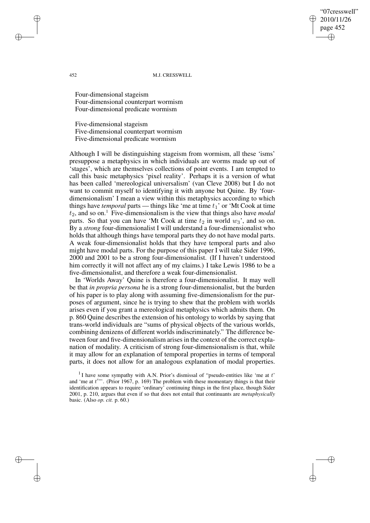452 M.J. CRESSWELL

"07cresswell" 2010/11/26 page 452

✐

✐

✐

✐

Four-dimensional stageism Four-dimensional counterpart wormism Four-dimensional predicate wormism

Five-dimensional stageism Five-dimensional counterpart wormism Five-dimensional predicate wormism

Although I will be distinguishing stageism from wormism, all these 'isms' presuppose a metaphysics in which individuals are worms made up out of 'stages', which are themselves collections of point events. I am tempted to call this basic metaphysics 'pixel reality'. Perhaps it is a version of what has been called 'mereological universalism' (van Cleve 2008) but I do not want to commit myself to identifying it with anyone but Quine. By 'fourdimensionalism' I mean a view within this metaphysics according to which things have *temporal* parts — things like 'me at time  $t_1$ ' or 'Mt Cook at time  $t_2$ , and so on.<sup>1</sup> Five-dimensionalism is the view that things also have *modal* parts. So that you can have 'Mt Cook at time  $t_2$  in world  $w_3$ ', and so on. By a *strong* four-dimensionalist I will understand a four-dimensionalist who holds that although things have temporal parts they do not have modal parts. A weak four-dimensionalist holds that they have temporal parts and also might have modal parts. For the purpose of this paper I will take Sider 1996, 2000 and 2001 to be a strong four-dimensionalist. (If I haven't understood him correctly it will not affect any of my claims.) I take Lewis 1986 to be a five-dimensionalist, and therefore a weak four-dimensionalist.

In 'Worlds Away' Quine is therefore a four-dimensionalist. It may well be that *in propria persona* he is a strong four-dimensionalist, but the burden of his paper is to play along with assuming five-dimensionalism for the purposes of argument, since he is trying to shew that the problem with worlds arises even if you grant a mereological metaphysics which admits them. On p. 860 Quine describes the extension of his ontology to worlds by saying that trans-world individuals are "sums of physical objects of the various worlds, combining denizens of different worlds indiscriminately." The difference between four and five-dimensionalism arises in the context of the correct explanation of modality. A criticism of strong four-dimensionalism is that, while it may allow for an explanation of temporal properties in terms of temporal parts, it does not allow for an analogous explanation of modal properties.

<sup>1</sup>I have some sympathy with A.N. Prior's dismissal of "pseudo-entities like 'me at  $t$ " and 'me at  $t''''$ . (Prior 1967, p. 169) The problem with these momentary things is that their identification appears to require 'ordinary' continuing things in the first place, though Sider 2001, p. 210, argues that even if so that does not entail that continuants are *metaphysically* basic. (Also *op. cit.* p. 60.)

✐

✐

✐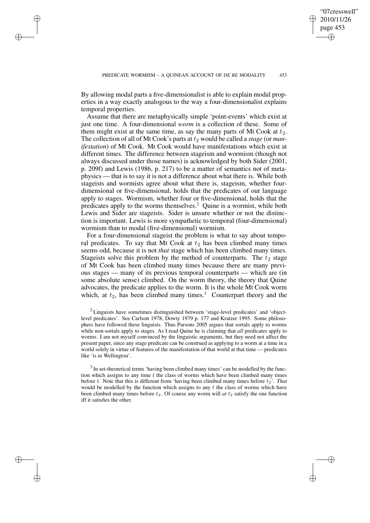✐

By allowing modal parts a five-dimensionalist is able to explain modal properties in a way exactly analogous to the way a four-dimensionalist explains temporal properties.

✐

✐

✐

✐

Assume that there are metaphysically simple 'point-events' which exist at just one time. A four-dimensional *worm* is a collection of these. Some of them might exist at the same time, as say the many parts of Mt Cook at  $t_2$ . The collection of all of Mt Cook's parts at  $t_2$  would be called a *stage* (or *manifestation*) of Mt Cook. Mt Cook would have manifestations which exist at different times. The difference between stageism and wormism (though not always discussed under those names) is acknowledged by both Sider (2001, p. 209f) and Lewis (1986, p. 217) to be a matter of semantics not of metaphysics — that is to say it is not a difference about what there is. While both stageists and wormists agree about what there is, stageism, whether fourdimensional or five-dimensional, holds that the predicates of our language apply to stages. Wormism, whether four or five-dimensional, holds that the predicates apply to the worms themselves.<sup>2</sup> Quine is a wormist, while both Lewis and Sider are stageists. Sider is unsure whether or not the distinction is important. Lewis is more sympathetic to temporal (four-dimensional) wormism than to modal (five-dimensional) wormism.

For a four-dimensional stageist the problem is what to say about temporal predicates. To say that Mt Cook at  $t_2$  has been climbed many times seems odd, because it is not *that* stage which has been climbed many times. Stageists solve this problem by the method of counterparts. The  $t_2$  stage of Mt Cook has been climbed many times because there are many previous stages — many of its previous temporal counterparts — which are (in some absolute sense) climbed. On the worm theory, the theory that Quine advocates, the predicate applies to the worm. It is the whole Mt Cook worm which, at  $t_2$ , has been climbed many times.<sup>3</sup> Counterpart theory and the

 $2$  Linguists have sometimes distinguished between 'stage-level predicates' and 'objectlevel predicates'. See Carlson 1978, Dowty 1979 p. 177 and Kratzer 1995. Some philosophers have followed these linguists. Thus Parsons 2005 argues that sortals apply to worms while non-sortals apply to stages. As I read Quine he is claiming that *all* predicates apply to worms. I am not myself convinced by the linguistic arguments, but they need not affect the present paper, since any stage predicate can be construed as applying to a worm at a time in a world solely in virtue of features of the manifestation of that world at that time — predicates like 'is in Wellington'.

 $3$  In set-theoretical terms 'having been climbed many times' can be modelled by the function which assigns to any time  $t$  the class of worms which have been climbed many times before t. Note that this is different from 'having been climbed many times before  $t_2$ '. *That* would be modelled by the function which assigns to any  $t$  the class of worms which have been climbed many times before  $t_2$ . Of course any worm will *at*  $t_2$  satisfy the one function iff it satisfies the other.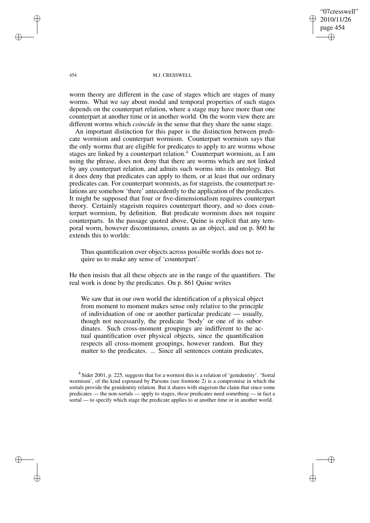"07cresswell" 2010/11/26 page 454 ✐ ✐

✐

✐

#### 454 M.J. CRESSWELL

worm theory are different in the case of stages which are stages of many worms. What we say about modal and temporal properties of such stages depends on the counterpart relation, where a stage may have more than one counterpart at another time or in another world. On the worm view there are different worms which *coincide* in the sense that they share the same stage.

An important distinction for this paper is the distinction between predicate wormism and counterpart wormism. Counterpart wormism says that the only worms that are eligible for predicates to apply to are worms whose stages are linked by a counterpart relation.<sup>4</sup> Counterpart wormism, as I am using the phrase, does not deny that there are worms which are not linked by any counterpart relation, and admits such worms into its ontology. But it does deny that predicates can apply to them, or at least that our ordinary predicates can. For counterpart wormists, as for stageists, the counterpart relations are somehow 'there' antecedently to the application of the predicates. It might be supposed that four or five-dimensionalism requires counterpart theory. Certainly stageism requires counterpart theory, and so does counterpart wormism, by definition. But predicate wormism does not require counterparts. In the passage quoted above, Quine is explicit that any temporal worm, however discontinuous, counts as an object, and on p. 860 he extends this to worlds:

Thus quantification over objects across possible worlds does not require us to make any sense of 'counterpart'.

He then insists that all these objects are in the range of the quantifiers. The real work is done by the predicates. On p. 861 Quine writes

We saw that in our own world the identification of a physical object from moment to moment makes sense only relative to the principle of individuation of one or another particular predicate — usually, though not necessarily, the predicate 'body' or one of its subordinates. Such cross-moment groupings are indifferent to the actual quantification over physical objects, since the quantification respects all cross-moment groupings, however random. But they matter to the predicates. ... Since all sentences contain predicates,

✐

✐

✐

<sup>&</sup>lt;sup>4</sup> Sider 2001, p. 225, suggests that for a wormist this is a relation of 'genidentity'. 'Sortal wormism', of the kind espoused by Parsons (see footnote 2) is a compromise in which the sortals provide the genidentity relation. But it shares with stageism the claim that since some predicates — the non-sortals — apply to stages, *these* predicates need something — in fact a sortal — to specify which stage the predicate applies to at another time or in another world.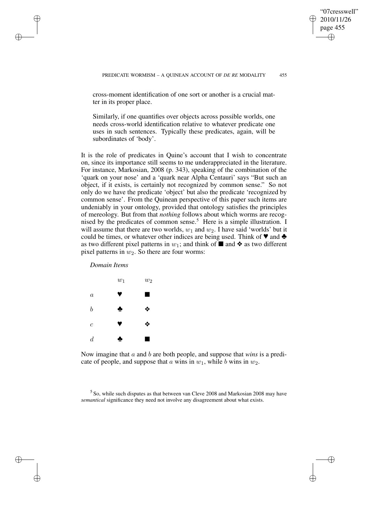PREDICATE WORMISM – A QUINEAN ACCOUNT OF *DE RE* MODALITY 455

"07cresswell" 2010/11/26 page 455

✐

✐

✐

✐

cross-moment identification of one sort or another is a crucial matter in its proper place.

Similarly, if one quantifies over objects across possible worlds, one needs cross-world identification relative to whatever predicate one uses in such sentences. Typically these predicates, again, will be subordinates of 'body'.

It is the role of predicates in Quine's account that I wish to concentrate on, since its importance still seems to me underappreciated in the literature. For instance, Markosian, 2008 (p. 343), speaking of the combination of the 'quark on your nose' and a 'quark near Alpha Centauri' says "But such an object, if it exists, is certainly not recognized by common sense." So not only do we have the predicate 'object' but also the predicate 'recognized by common sense'. From the Quinean perspective of this paper such items are undeniably in your ontology, provided that ontology satisfies the principles of mereology. But from that *nothing* follows about which worms are recognised by the predicates of common sense.<sup>5</sup> Here is a simple illustration. I will assume that there are two worlds,  $w_1$  and  $w_2$ . I have said 'worlds' but it could be times, or whatever other indices are being used. Think of  $\Psi$  and  $\triangle$ as two different pixel patterns in  $w_1$ ; and think of  $\blacksquare$  and  $\diamondsuit$  as two different pixel patterns in  $w_2$ . So there are four worms:

*Domain Items*

✐

✐

✐

✐



Now imagine that a and b are both people, and suppose that *wins* is a predicate of people, and suppose that  $a$  wins in  $w_1$ , while  $b$  wins in  $w_2$ .

<sup>5</sup> So, while such disputes as that between van Cleve 2008 and Markosian 2008 may have *semantical* significance they need not involve any disagreement about what exists.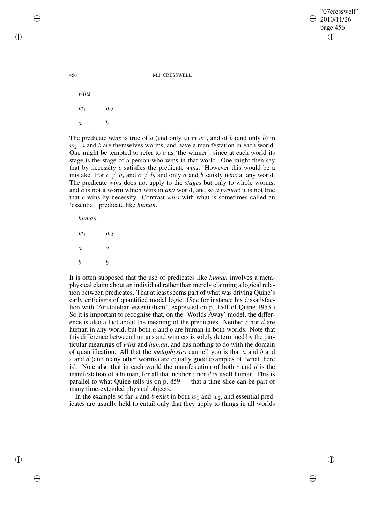"07cresswell" 2010/11/26 page 456 ✐ ✐

✐

456 M.J. CRESSWELL

*wins*

 $w_1$   $w_2$ 

 $a \qquad b$ 

The predicate *wins* is true of  $a$  (and only  $a$ ) in  $w_1$ , and of  $b$  (and only  $b$ ) in  $w_2$ . a and b are themselves worms, and have a manifestation in each world. One might be tempted to refer to  $c$  as 'the winner', since at each world its stage is the stage of a person who wins in that world. One might then say that by necessity c satisfies the predicate *wins*. However this would be a mistake. For  $c \neq a$ , and  $c \neq b$ , and only a and b satisfy *wins* at any world. The predicate *wins* does not apply to the *stages* but only to whole worms, and c is not a worm which wins in *any* world, and so *a fortiori* it is not true that c wins by necessity. Contrast *wins* with what is sometimes called an 'essential' predicate like *human*.

*human*  $w_1$   $w_2$ 

a a b b

It is often supposed that the use of predicates like *human* involves a metaphysical claim about an individual rather than merely claiming a logical relation between predicates. That at least seems part of what was driving Quine's early criticisms of quantified modal logic. (See for instance his dissatisfaction with 'Aristotelian essentialism', expressed on p. 154f of Quine 1953.) So it is important to recognise that, on the 'Worlds Away' model, the difference is also a fact about the meaning of the predicates. Neither  $c$  nor  $d$  are human in any world, but both  $a$  and  $b$  are human in both worlds. Note that this difference between humans and winners is solely determined by the particular meanings of *wins* and *human*, and has nothing to do with the domain of quantification. All that the *metaphysics* can tell you is that a and b and  $c$  and  $d$  (and many other worms) are equally good examples of 'what there is'. Note also that in each world the manifestation of both  $c$  and  $d$  is the manifestation of a human, for all that neither  $c$  nor  $d$  is itself human. This is parallel to what Quine tells us on p. 859 — that a time slice can be part of many time-extended physical objects.

In the example so far  $a$  and  $b$  exist in both  $w_1$  and  $w_2$ , and essential predicates are usually held to entail only that they apply to things in all worlds

✐

✐

✐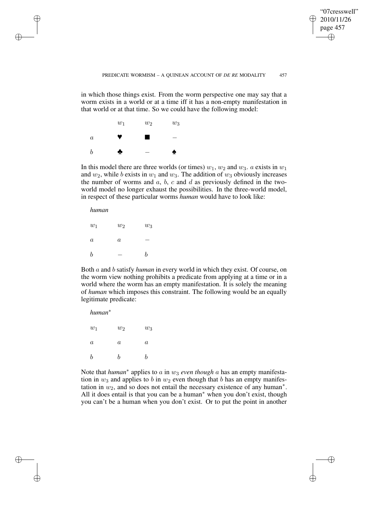✐

#### PREDICATE WORMISM – A QUINEAN ACCOUNT OF *DE RE* MODALITY 457

in which those things exist. From the worm perspective one may say that a worm exists in a world or at a time iff it has a non-empty manifestation in that world or at that time. So we could have the following model:



✐

✐

✐

✐

In this model there are three worlds (or times)  $w_1$ ,  $w_2$  and  $w_3$ . a exists in  $w_1$ and  $w_2$ , while b exists in  $w_1$  and  $w_3$ . The addition of  $w_3$  obviously increases the number of worms and  $a, b, c$  and  $d$  as previously defined in the twoworld model no longer exhaust the possibilities. In the three-world model, in respect of these particular worms *human* would have to look like:

| human            |                  |       |  |
|------------------|------------------|-------|--|
| $w_1$            | $w_2$            | $w_3$ |  |
| $\boldsymbol{a}$ | $\boldsymbol{a}$ |       |  |
| h                |                  | Ь     |  |

Both a and b satisfy *human* in every world in which they exist. Of course, on the worm view nothing prohibits a predicate from applying at a time or in a world where the worm has an empty manifestation. It is solely the meaning of *human* which imposes this constraint. The following would be an equally legitimate predicate:

| human*           |                  |          |  |
|------------------|------------------|----------|--|
| $w_1$            | $w_2$            | $w_3$    |  |
| $\boldsymbol{a}$ | $\boldsymbol{a}$ | $\alpha$ |  |
| h                |                  | r        |  |

Note that *human*<sup>\*</sup> applies to a in  $w_3$  *even though* a has an empty manifestation in  $w_3$  and applies to b in  $w_2$  even though that b has an empty manifestation in  $w_2$ , and so does not entail the necessary existence of any human<sup>\*</sup>. All it does entail is that you can be a human<sup>∗</sup> when you don't exist, though you can't be a human when you don't exist. Or to put the point in another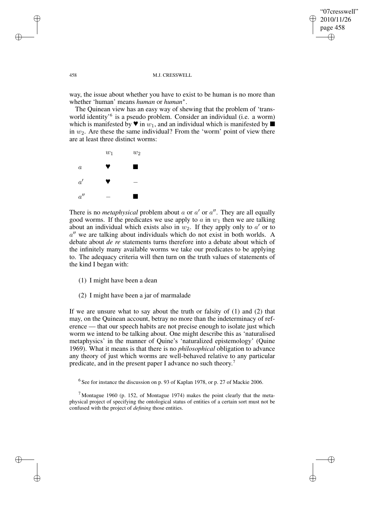✐

#### 458 M.J. CRESSWELL

way, the issue about whether you have to exist to be human is no more than whether 'human' means *human* or *human*<sup>∗</sup> .

The Quinean view has an easy way of shewing that the problem of 'transworld identity'<sup>6</sup> is a pseudo problem. Consider an individual (i.e. a worm) which is manifested by  $\blacktriangledown$  in  $w_1$ , and an individual which is manifested by  $\blacksquare$ in  $w_2$ . Are these the same individual? From the 'worm' point of view there are at least three distinct worms:



There is no *metaphysical* problem about  $a$  or  $a'$  or  $a''$ . They are all equally good worms. If the predicates we use apply to  $a$  in  $w_1$  then we are talking about an individual which exists also in  $w_2$ . If they apply only to a' or to  $a''$  we are talking about individuals which do not exist in both worlds. A debate about *de re* statements turns therefore into a debate about which of the infinitely many available worms we take our predicates to be applying to. The adequacy criteria will then turn on the truth values of statements of the kind I began with:

- (1) I might have been a dean
- (2) I might have been a jar of marmalade

If we are unsure what to say about the truth or falsity of (1) and (2) that may, on the Quinean account, betray no more than the indeterminacy of reference — that our speech habits are not precise enough to isolate just which worm we intend to be talking about. One might describe this as 'naturalised metaphysics' in the manner of Quine's 'naturalized epistemology' (Quine 1969). What it means is that there is no *philosophical* obligation to advance any theory of just which worms are well-behaved relative to any particular predicate, and in the present paper I advance no such theory.<sup>7</sup>

✐

✐

✐

 $<sup>6</sup>$  See for instance the discussion on p. 93 of Kaplan 1978, or p. 27 of Mackie 2006.</sup>

 $<sup>7</sup>$  Montague 1960 (p. 152, of Montague 1974) makes the point clearly that the meta-</sup> physical project of specifying the ontological status of entities of a certain sort must not be confused with the project of *defining* those entities.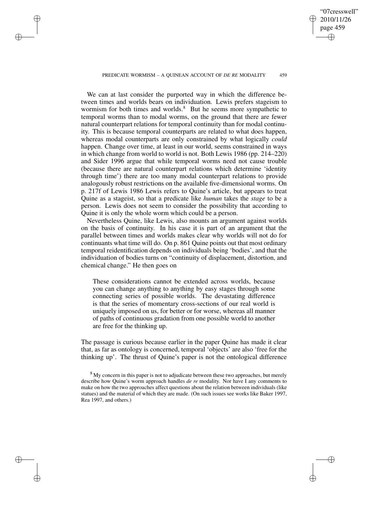#### PREDICATE WORMISM – A QUINEAN ACCOUNT OF *DE RE* MODALITY 459

✐

✐

✐

✐

We can at last consider the purported way in which the difference between times and worlds bears on individuation. Lewis prefers stageism to wormism for both times and worlds.<sup>8</sup> But he seems more sympathetic to temporal worms than to modal worms, on the ground that there are fewer natural counterpart relations for temporal continuity than for modal continuity. This is because temporal counterparts are related to what does happen, whereas modal counterparts are only constrained by what logically *could* happen. Change over time, at least in our world, seems constrained in ways in which change from world to world is not. Both Lewis 1986 (pp. 214–220) and Sider 1996 argue that while temporal worms need not cause trouble (because there are natural counterpart relations which determine 'identity through time') there are too many modal counterpart relations to provide analogously robust restrictions on the available five-dimensional worms. On p. 217f of Lewis 1986 Lewis refers to Quine's article, but appears to treat Quine as a stageist, so that a predicate like *human* takes the *stage* to be a person. Lewis does not seem to consider the possibility that according to Quine it is only the whole worm which could be a person.

Nevertheless Quine, like Lewis, also mounts an argument against worlds on the basis of continuity. In his case it is part of an argument that the parallel between times and worlds makes clear why worlds will not do for continuants what time will do. On p. 861 Quine points out that most ordinary temporal reidentification depends on individuals being 'bodies', and that the individuation of bodies turns on "continuity of displacement, distortion, and chemical change." He then goes on

These considerations cannot be extended across worlds, because you can change anything to anything by easy stages through some connecting series of possible worlds. The devastating difference is that the series of momentary cross-sections of our real world is uniquely imposed on us, for better or for worse, whereas all manner of paths of continuous gradation from one possible world to another are free for the thinking up.

The passage is curious because earlier in the paper Quine has made it clear that, as far as ontology is concerned, temporal 'objects' are also 'free for the thinking up'. The thrust of Quine's paper is not the ontological difference

"07cresswell" 2010/11/26 page 459

✐

✐

✐

<sup>&</sup>lt;sup>8</sup> My concern in this paper is not to adjudicate between these two approaches, but merely describe how Quine's worm approach handles *de re* modality. Nor have I any comments to make on how the two approaches affect questions about the relation between individuals (like statues) and the material of which they are made. (On such issues see works like Baker 1997, Rea 1997, and others.)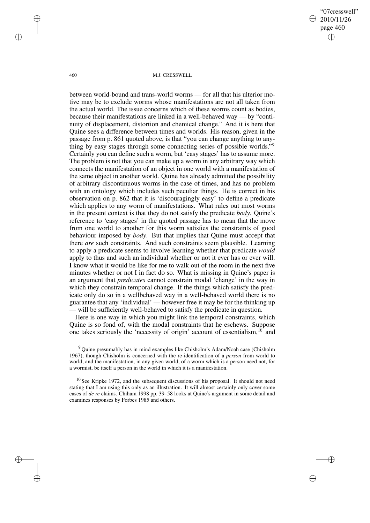"07cresswell" 2010/11/26 page 460 ✐ ✐

✐

✐

#### 460 M.J. CRESSWELL

between world-bound and trans-world worms — for all that his ulterior motive may be to exclude worms whose manifestations are not all taken from the actual world. The issue concerns which of these worms count as bodies, because their manifestations are linked in a well-behaved way — by "continuity of displacement, distortion and chemical change." And it is here that Quine sees a difference between times and worlds. His reason, given in the passage from p. 861 quoted above, is that "you can change anything to anything by easy stages through some connecting series of possible worlds."<sup>9</sup> Certainly you can define such a worm, but 'easy stages' has to assume more. The problem is not that you can make up a worm in any arbitrary way which connects the manifestation of an object in one world with a manifestation of the same object in another world. Quine has already admitted the possibility of arbitrary discontinuous worms in the case of times, and has no problem with an ontology which includes such peculiar things. He is correct in his observation on p. 862 that it is 'discouragingly easy' to define a predicate which applies to any worm of manifestations. What rules out most worms in the present context is that they do not satisfy the predicate *body*. Quine's reference to 'easy stages' in the quoted passage has to mean that the move from one world to another for this worm satisfies the constraints of good behaviour imposed by *body*. But that implies that Quine must accept that there *are* such constraints. And such constraints seem plausible. Learning to apply a predicate seems to involve learning whether that predicate *would* apply to thus and such an individual whether or not it ever has or ever will. I know what it would be like for me to walk out of the room in the next five minutes whether or not I in fact do so. What is missing in Quine's paper is an argument that *predicates* cannot constrain modal 'change' in the way in which they constrain temporal change. If the things which satisfy the predicate only do so in a wellbehaved way in a well-behaved world there is no guarantee that any 'individual' — however free it may be for the thinking up — will be sufficiently well-behaved to satisfy the predicate in question.

Here is one way in which you might link the temporal constraints, which Quine is so fond of, with the modal constraints that he eschews. Suppose one takes seriously the 'necessity of origin' account of essentialism,<sup>10</sup> and

<sup>9</sup> Quine presumably has in mind examples like Chisholm's Adam/Noah case (Chisholm 1967), though Chisholm is concerned with the re-identification of a *person* from world to world, and the manifestation, in any given world, of a worm which is a person need not, for a wormist, be itself a person in the world in which it is a manifestation.

 $10$  See Kripke 1972, and the subsequent discussions of his proposal. It should not need stating that I am using this only as an illustration. It will almost certainly only cover some cases of *de re* claims. Chihara 1998 pp. 39–58 looks at Quine's argument in some detail and examines responses by Forbes 1985 and others.

✐

✐

✐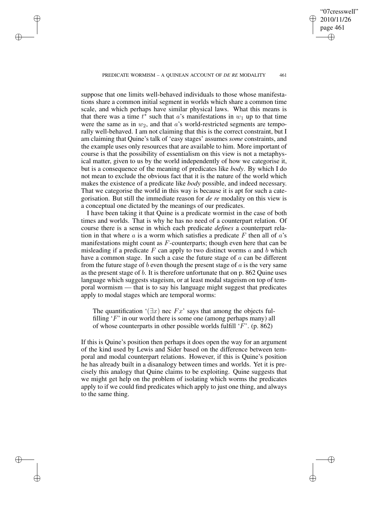### "07cresswell" 2010/11/26 page 461 ✐ ✐

✐

✐

### PREDICATE WORMISM – A QUINEAN ACCOUNT OF *DE RE* MODALITY 461

✐

✐

✐

✐

suppose that one limits well-behaved individuals to those whose manifestations share a common initial segment in worlds which share a common time scale, and which perhaps have similar physical laws. What this means is that there was a time  $t^*$  such that a's manifestations in  $w_1$  up to that time were the same as in  $w_2$ , and that a's world-restricted segments are temporally well-behaved. I am not claiming that this is the correct constraint, but I am claiming that Quine's talk of 'easy stages' assumes *some* constraints, and the example uses only resources that are available to him. More important of course is that the possibility of essentialism on this view is not a metaphysical matter, given to us by the world independently of how we categorise it, but is a consequence of the meaning of predicates like *body*. By which I do not mean to exclude the obvious fact that it is the nature of the world which makes the existence of a predicate like *body* possible, and indeed necessary. That we categorise the world in this way is because it is apt for such a categorisation. But still the immediate reason for *de re* modality on this view is a conceptual one dictated by the meanings of our predicates.

I have been taking it that Quine is a predicate wormist in the case of both times and worlds. That is why he has no need of a counterpart relation. Of course there is a sense in which each predicate *defines* a counterpart relation in that where  $\alpha$  is a worm which satisfies a predicate  $F$  then all of  $\alpha$ 's manifestations might count as  $F$ -counterparts; though even here that can be misleading if a predicate  $F$  can apply to two distinct worms  $a$  and  $b$  which have a common stage. In such a case the future stage of a can be different from the future stage of b even though the present stage of  $\alpha$  is the very same as the present stage of b. It is therefore unfortunate that on p. 862 Quine uses language which suggests stageism, or at least modal stageism on top of temporal wormism — that is to say his language might suggest that predicates apply to modal stages which are temporal worms:

The quantification '( $\exists x$ ) nec  $Fx$ ' says that among the objects fulfilling  $F'$  in our world there is some one (among perhaps many) all of whose counterparts in other possible worlds fulfill  $F'$ . (p. 862)

If this is Quine's position then perhaps it does open the way for an argument of the kind used by Lewis and Sider based on the difference between temporal and modal counterpart relations. However, if this is Quine's position he has already built in a disanalogy between times and worlds. Yet it is precisely this analogy that Quine claims to be exploiting. Quine suggests that we might get help on the problem of isolating which worms the predicates apply to if we could find predicates which apply to just one thing, and always to the same thing.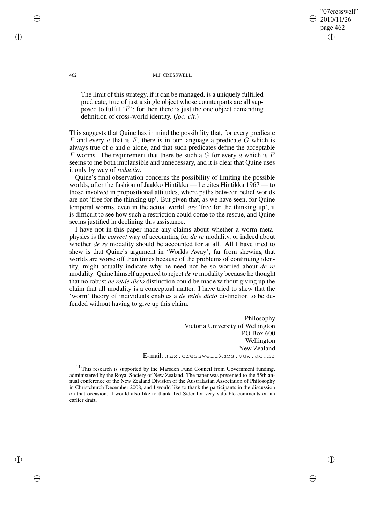"07cresswell" 2010/11/26 page 462 ✐ ✐

✐

✐

462 M.J. CRESSWELL

The limit of this strategy, if it can be managed, is a uniquely fulfilled predicate, true of just a single object whose counterparts are all supposed to fulfill  $F'$ ; for then there is just the one object demanding definition of cross-world identity. (*loc. cit.*)

This suggests that Quine has in mind the possibility that, for every predicate  $F$  and every  $\alpha$  that is  $F$ , there is in our language a predicate  $G$  which is always true of  $\alpha$  and  $\alpha$  alone, and that such predicates define the acceptable F-worms. The requirement that there be such a  $G$  for every  $\alpha$  which is  $F$ seems to me both implausible and unnecessary, and it is clear that Quine uses it only by way of *reductio*.

Quine's final observation concerns the possibility of limiting the possible worlds, after the fashion of Jaakko Hintikka — he cites Hintikka 1967 — to those involved in propositional attitudes, where paths between belief worlds are not 'free for the thinking up'. But given that, as we have seen, for Quine temporal worms, even in the actual world, *are* 'free for the thinking up', it is difficult to see how such a restriction could come to the rescue, and Quine seems justified in declining this assistance.

I have not in this paper made any claims about whether a worm metaphysics is the *correct* way of accounting for *de re* modality, or indeed about whether *de re* modality should be accounted for at all. All I have tried to shew is that Quine's argument in 'Worlds Away', far from shewing that worlds are worse off than times because of the problems of continuing identity, might actually indicate why he need not be so worried about *de re* modality. Quine himself appeared to reject *de re* modality because he thought that no robust *de re*/*de dicto* distinction could be made without giving up the claim that all modality is a conceptual matter. I have tried to shew that the 'worm' theory of individuals enables a *de re*/*de dicto* distinction to be defended without having to give up this claim. $<sup>11</sup>$ </sup>

> Philosophy Victoria University of Wellington PO Box 600 Wellington New Zealand E-mail: max.cresswell@mcs.vuw.ac.nz

 $11$  This research is supported by the Marsden Fund Council from Government funding, administered by the Royal Society of New Zealand. The paper was presented to the 55th annual conference of the New Zealand Division of the Australasian Association of Philosophy in Christchurch December 2008, and I would like to thank the participants in the discussion on that occasion. I would also like to thank Ted Sider for very valuable comments on an earlier draft.

✐

✐

✐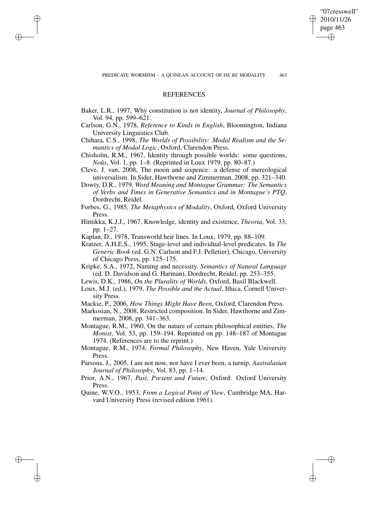✐

### **REFERENCES**

✐

✐

✐

- Baker, L.R., 1997, Why constitution is not identity, *Journal of Philosophy*, Vol. 94, pp. 599–621.
- Carlson, G.N., 1978, *Reference to Kinds in English*, Bloomington, Indiana University Linguistics Club.
- Chihara, C.S., 1998, *The Worlds of Possibility: Modal Realism and the Semantics of Modal Logic*, Oxford, Clarendon Press.
- Chisholm, R.M., 1967, Identity through possible worlds: some questions, *Noûs*, Vol. 1, pp. 1–8. (Reprinted in Loux 1979, pp. 80–87.)
- Cleve, J. van, 2008, The moon and sixpence: a defense of mereological universalism. In Sider, Hawthorne and Zimmerman, 2008, pp. 321–340.
- Dowty, D.R., 1979, *Word Meaning and Montague Grammar: The Semantics of Verbs and Times in Generative Semantics and in Montague's PTQ*, Dordrecht, Reidel.
- Forbes, G., 1985, *The Metaphysics of Modality*, Oxford, Oxford University Press.
- Hintikka, K.J.J., 1967, Knowledge, identity and existence, *Theoria*, Vol. 33, pp. 1–27.
- Kaplan, D., 1978, Transworld heir lines. In Loux, 1979, pp. 88–109.
- Kratzer, A.H.E.S., 1995, Stage-level and individual-level predicates. In *The Generic Book* (ed. G.N. Carlson and F.J. Pelletier), Chicago, University of Chicago Press, pp. 125–175.
- Kripke, S.A., 1972, Naming and necessity. *Semantics of Natural Language* (ed. D. Davidson and G. Harman), Dordrecht, Reidel, pp. 253–355.
- Lewis, D.K., 1986, *On the Plurality of Worlds*, Oxford, Basil Blackwell.
- Loux, M.J. (ed.), 1979, *The Possible and the Actual*, Ithica, Cornell University Press.
- Mackie, P., 2006, *How Things Might Have Been*, Oxford, Clarendon Press.
- Markosian, N., 2008, Restricted composition. In Sider, Hawthorne and Zimmerman, 2008, pp. 341–363.
- Montague, R.M., 1960, On the nature of certain philosophical entities, *The Monist*, Vol. 53, pp. 159–194. Reprinted on pp. 148–187 of Montague 1974. (References are to the reprint.)
- Montague, R.M., 1974, *Formal Philosophy*, New Haven, Yale University Press.
- Parsons, J., 2005, I am not now, nor have I ever been, a turnip, *Australasian Journal of Philosophy*, Vol. 83, pp. 1–14.
- Prior, A.N., 1967, *Past, Present and Future*, Oxford: Oxford University Press.
- Quine, W.V.O., 1953, *From a Logical Point of View*, Cambridge MA, Harvard University Press (revised edition 1961).